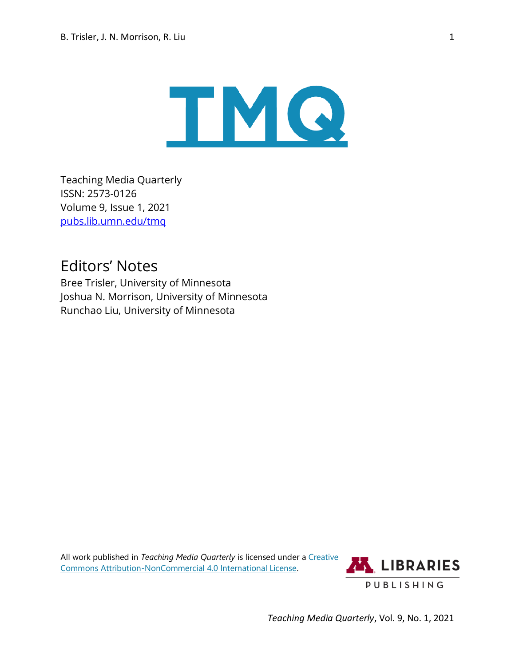

Teaching Media Quarterly ISSN: 2573-0126 Volume 9, Issue 1, 2021 [pubs.lib.umn.edu/tmq](https://pubs.lib.umn.edu/index.php/tmq)

## Editors' Notes

Bree Trisler, University of Minnesota Joshua N. Morrison, University of Minnesota Runchao Liu, University of Minnesota

All work published in *Teaching Media Quarterly* is licensed under a **Creative** [Commons Attribution-NonCommercial](http://creativecommons.org/licenses/by-nc/4.0/) 4.0 International License.



*Teaching Media Quarterly*, Vol. 9, No. 1, 2021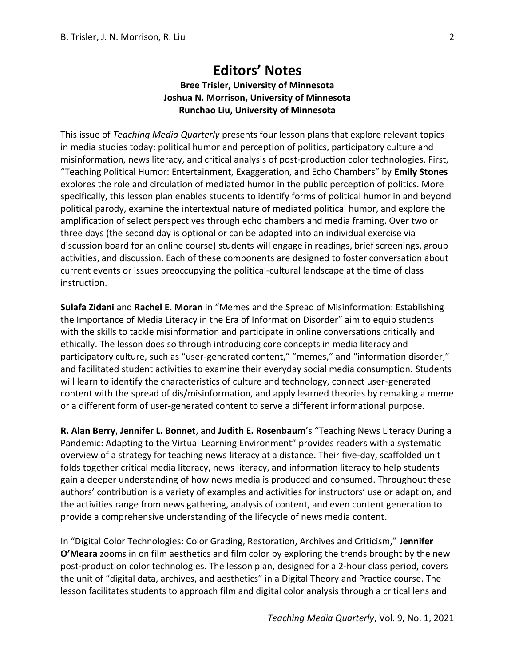## **Editors' Notes Bree Trisler, University of Minnesota Joshua N. Morrison, University of Minnesota Runchao Liu, University of Minnesota**

This issue of *Teaching Media Quarterly* presents four lesson plans that explore relevant topics in media studies today: political humor and perception of politics, participatory culture and misinformation, news literacy, and critical analysis of post-production color technologies. First, "Teaching Political Humor: Entertainment, Exaggeration, and Echo Chambers" by **Emily Stones** explores the role and circulation of mediated humor in the public perception of politics. More specifically, this lesson plan enables students to identify forms of political humor in and beyond political parody, examine the intertextual nature of mediated political humor, and explore the amplification of select perspectives through echo chambers and media framing. Over two or three days (the second day is optional or can be adapted into an individual exercise via discussion board for an online course) students will engage in readings, brief screenings, group activities, and discussion. Each of these components are designed to foster conversation about current events or issues preoccupying the political-cultural landscape at the time of class instruction.

**Sulafa Zidani** and **Rachel E. Moran** in "Memes and the Spread of Misinformation: Establishing the Importance of Media Literacy in the Era of Information Disorder" aim to equip students with the skills to tackle misinformation and participate in online conversations critically and ethically. The lesson does so through introducing core concepts in media literacy and participatory culture, such as "user-generated content," "memes," and "information disorder," and facilitated student activities to examine their everyday social media consumption. Students will learn to identify the characteristics of culture and technology, connect user-generated content with the spread of dis/misinformation, and apply learned theories by remaking a meme or a different form of user-generated content to serve a different informational purpose.

**R. Alan Berry**, **Jennifer L. Bonnet**, and **Judith E. Rosenbaum**'s "Teaching News Literacy During a Pandemic: Adapting to the Virtual Learning Environment" provides readers with a systematic overview of a strategy for teaching news literacy at a distance. Their five-day, scaffolded unit folds together critical media literacy, news literacy, and information literacy to help students gain a deeper understanding of how news media is produced and consumed. Throughout these authors' contribution is a variety of examples and activities for instructors' use or adaption, and the activities range from news gathering, analysis of content, and even content generation to provide a comprehensive understanding of the lifecycle of news media content.

In "Digital Color Technologies: Color Grading, Restoration, Archives and Criticism," **Jennifer O'Meara** zooms in on film aesthetics and film color by exploring the trends brought by the new post-production color technologies. The lesson plan, designed for a 2-hour class period, covers the unit of "digital data, archives, and aesthetics" in a Digital Theory and Practice course. The lesson facilitates students to approach film and digital color analysis through a critical lens and